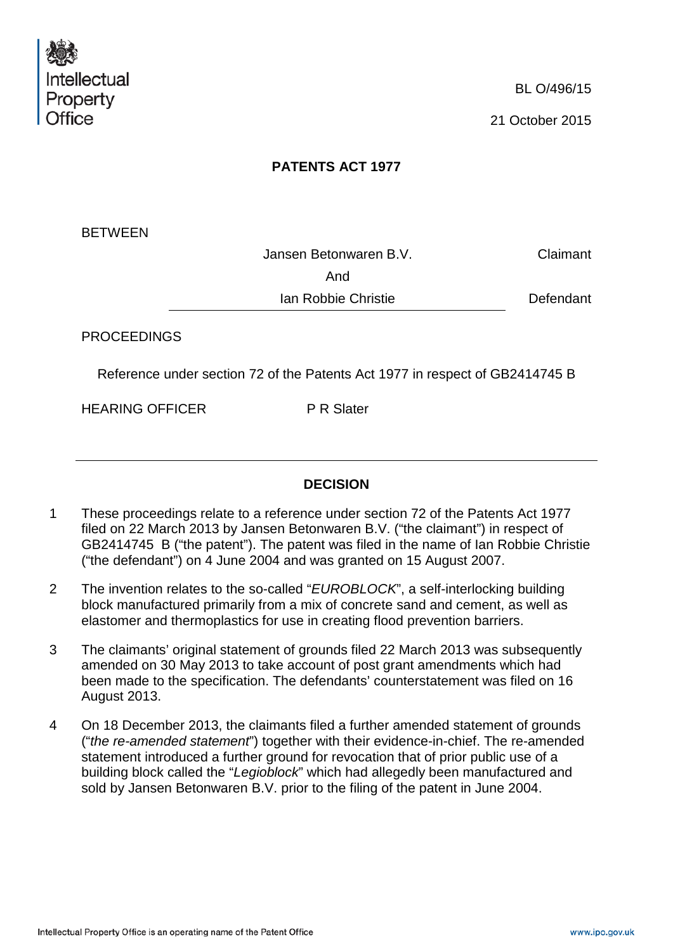

# **PATENTS ACT 1977**

**BETWEEN** 

Jansen Betonwaren B.V. Claimant And

Ian Robbie Christie Defendant

PROCEEDINGS

Reference under section 72 of the Patents Act 1977 in respect of GB2414745 B

HEARING OFFICER P R Slater

#### **DECISION**

- 1 These proceedings relate to a reference under section 72 of the Patents Act 1977 filed on 22 March 2013 by Jansen Betonwaren B.V. ("the claimant") in respect of GB2414745 B ("the patent"). The patent was filed in the name of Ian Robbie Christie ("the defendant") on 4 June 2004 and was granted on 15 August 2007.
- 2 The invention relates to the so-called "*EUROBLOCK*", a self-interlocking building block manufactured primarily from a mix of concrete sand and cement, as well as elastomer and thermoplastics for use in creating flood prevention barriers.
- 3 The claimants' original statement of grounds filed 22 March 2013 was subsequently amended on 30 May 2013 to take account of post grant amendments which had been made to the specification. The defendants' counterstatement was filed on 16 August 2013.
- 4 On 18 December 2013, the claimants filed a further amended statement of grounds ("*the re-amended statement*") together with their evidence-in-chief. The re-amended statement introduced a further ground for revocation that of prior public use of a building block called the "*Legioblock*" which had allegedly been manufactured and sold by Jansen Betonwaren B.V. prior to the filing of the patent in June 2004.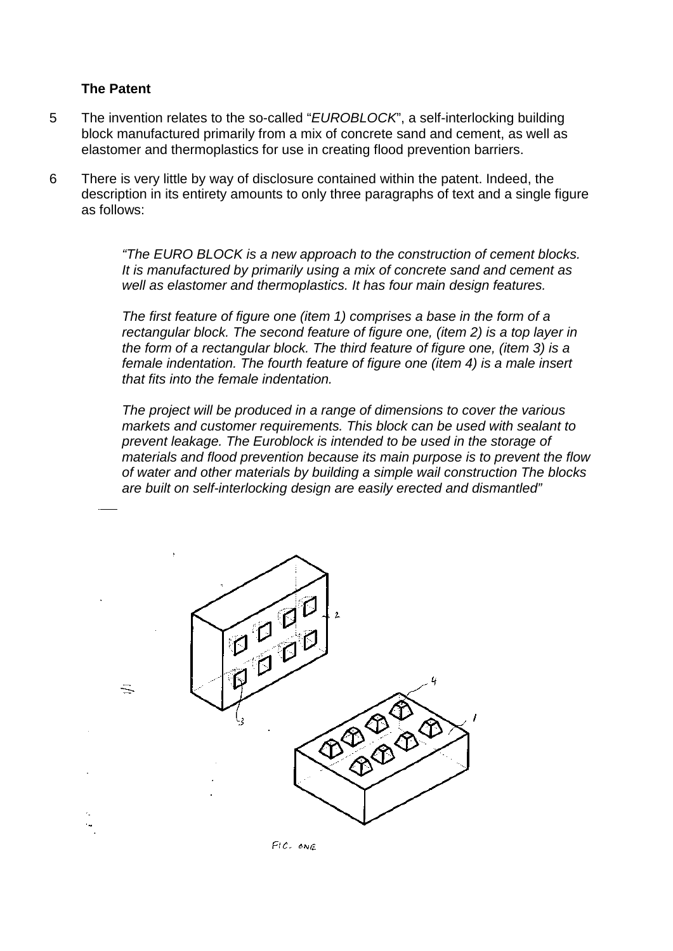#### **The Patent**

- 5 The invention relates to the so-called "*EUROBLOCK*", a self-interlocking building block manufactured primarily from a mix of concrete sand and cement, as well as elastomer and thermoplastics for use in creating flood prevention barriers.
- 6 There is very little by way of disclosure contained within the patent. Indeed, the description in its entirety amounts to only three paragraphs of text and a single figure as follows:

*"The EURO BLOCK is a new approach to the construction of cement blocks. It is manufactured by primarily using a mix of concrete sand and cement as well as elastomer and thermoplastics. It has four main design features.*

*The first feature of figure one (item 1) comprises a base in the form of a rectangular block. The second feature of figure one, (item 2) is a top layer in the form of a rectangular block. The third feature of figure one, (item 3) is a female indentation. The fourth feature of figure one (item 4) is a male insert that fits into the female indentation.* 

*The project will be produced in a range of dimensions to cover the various markets and customer requirements. This block can be used with sealant to prevent leakage. The Euroblock is intended to be used in the storage of materials and flood prevention because its main purpose is to prevent the flow of water and other materials by building a simple wail construction The blocks are built on self-interlocking design are easily erected and dismantled"*



 $Fic.$   $on \varepsilon$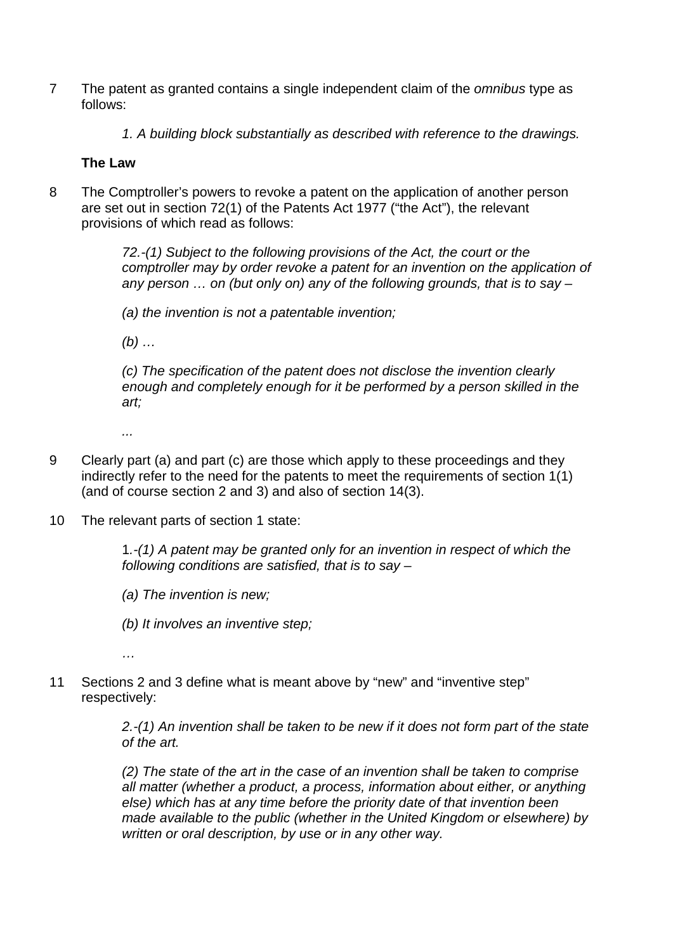- 7 The patent as granted contains a single independent claim of the *omnibus* type as follows:
	- *1. A building block substantially as described with reference to the drawings.*

#### **The Law**

8 The Comptroller's powers to revoke a patent on the application of another person are set out in section 72(1) of the Patents Act 1977 ("the Act"), the relevant provisions of which read as follows:

> *72.-(1) Subject to the following provisions of the Act, the court or the comptroller may by order revoke a patent for an invention on the application of any person … on (but only on) any of the following grounds, that is to say –*

*(a) the invention is not a patentable invention;*

*(b) …* 

*(c) The specification of the patent does not disclose the invention clearly enough and completely enough for it be performed by a person skilled in the art;* 

*...*

- 9 Clearly part (a) and part (c) are those which apply to these proceedings and they indirectly refer to the need for the patents to meet the requirements of section 1(1) (and of course section 2 and 3) and also of section 14(3).
- 10 The relevant parts of section 1 state:

1*.-(1) A patent may be granted only for an invention in respect of which the following conditions are satisfied, that is to say –*

*(a) The invention is new;* 

*(b) It involves an inventive step;* 

*…* 

11 Sections 2 and 3 define what is meant above by "new" and "inventive step" respectively:

> *2.-(1) An invention shall be taken to be new if it does not form part of the state of the art.*

> *(2) The state of the art in the case of an invention shall be taken to comprise all matter (whether a product, a process, information about either, or anything else) which has at any time before the priority date of that invention been made available to the public (whether in the United Kingdom or elsewhere) by written or oral description, by use or in any other way.*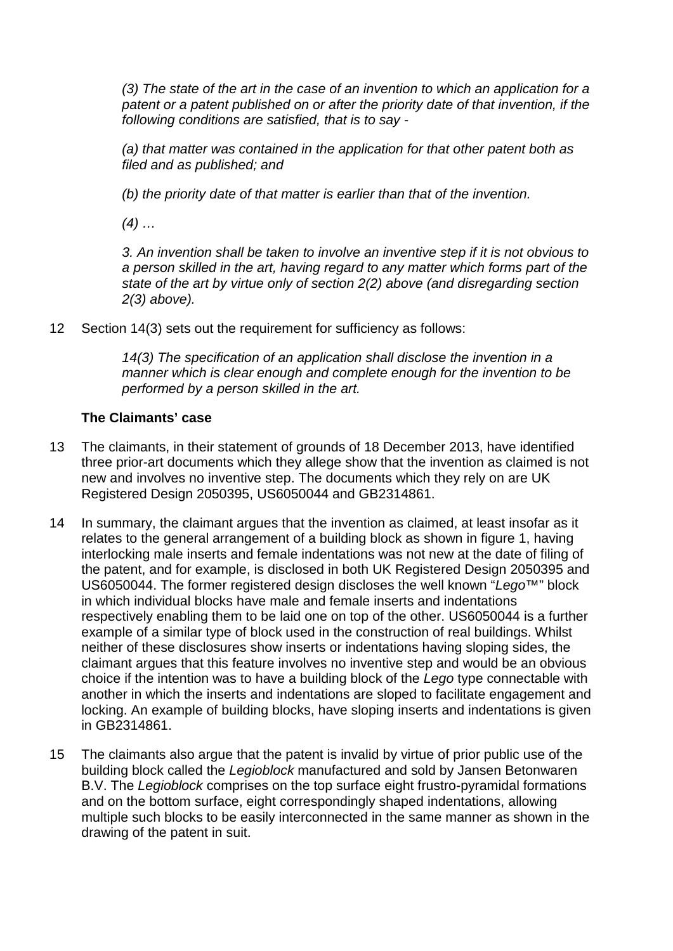*(3) The state of the art in the case of an invention to which an application for a patent or a patent published on or after the priority date of that invention, if the following conditions are satisfied, that is to say -*

*(a) that matter was contained in the application for that other patent both as filed and as published; and* 

*(b) the priority date of that matter is earlier than that of the invention.*

*(4) …* 

*3. An invention shall be taken to involve an inventive step if it is not obvious to a person skilled in the art, having regard to any matter which forms part of the state of the art by virtue only of section 2(2) above (and disregarding section 2(3) above).*

12 Section 14(3) sets out the requirement for sufficiency as follows:

*14(3) The specification of an application shall disclose the invention in a manner which is clear enough and complete enough for the invention to be performed by a person skilled in the art.*

### **The Claimants' case**

- 13 The claimants, in their statement of grounds of 18 December 2013, have identified three prior-art documents which they allege show that the invention as claimed is not new and involves no inventive step. The documents which they rely on are UK Registered Design 2050395, US6050044 and GB2314861.
- 14 In summary, the claimant argues that the invention as claimed, at least insofar as it relates to the general arrangement of a building block as shown in figure 1, having interlocking male inserts and female indentations was not new at the date of filing of the patent, and for example, is disclosed in both UK Registered Design 2050395 and US6050044. The former registered design discloses the well known "*Lego™*" block in which individual blocks have male and female inserts and indentations respectively enabling them to be laid one on top of the other. US6050044 is a further example of a similar type of block used in the construction of real buildings. Whilst neither of these disclosures show inserts or indentations having sloping sides, the claimant argues that this feature involves no inventive step and would be an obvious choice if the intention was to have a building block of the *Lego* type connectable with another in which the inserts and indentations are sloped to facilitate engagement and locking. An example of building blocks, have sloping inserts and indentations is given in GB2314861.
- 15 The claimants also argue that the patent is invalid by virtue of prior public use of the building block called the *Legioblock* manufactured and sold by Jansen Betonwaren B.V. The *Legioblock* comprises on the top surface eight frustro-pyramidal formations and on the bottom surface, eight correspondingly shaped indentations, allowing multiple such blocks to be easily interconnected in the same manner as shown in the drawing of the patent in suit.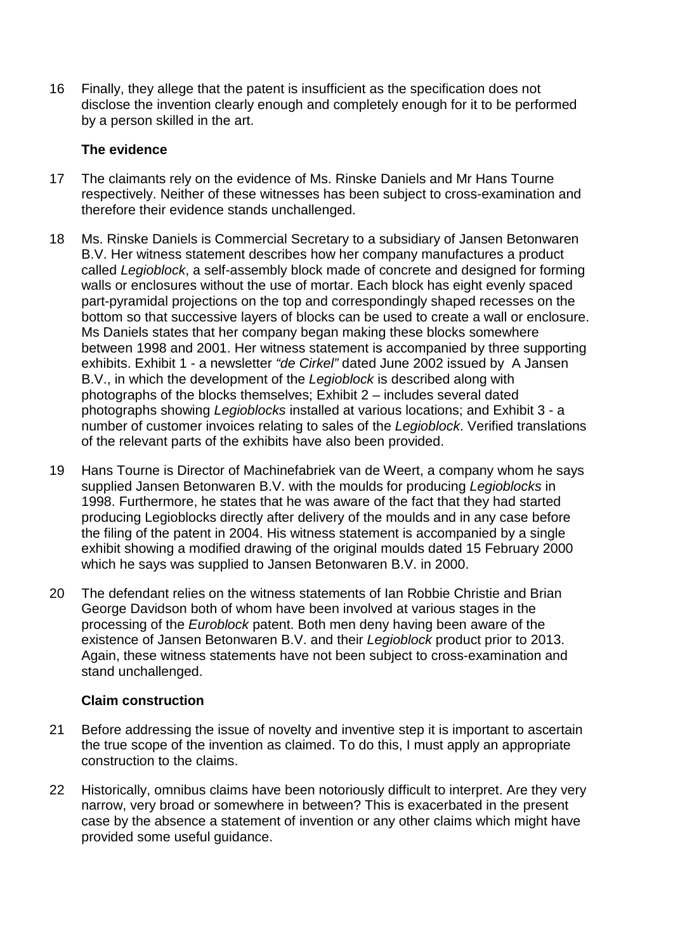16 Finally, they allege that the patent is insufficient as the specification does not disclose the invention clearly enough and completely enough for it to be performed by a person skilled in the art.

#### **The evidence**

- 17 The claimants rely on the evidence of Ms. Rinske Daniels and Mr Hans Tourne respectively. Neither of these witnesses has been subject to cross-examination and therefore their evidence stands unchallenged.
- 18 Ms. Rinske Daniels is Commercial Secretary to a subsidiary of Jansen Betonwaren B.V. Her witness statement describes how her company manufactures a product called *Legioblock*, a self-assembly block made of concrete and designed for forming walls or enclosures without the use of mortar. Each block has eight evenly spaced part-pyramidal projections on the top and correspondingly shaped recesses on the bottom so that successive layers of blocks can be used to create a wall or enclosure. Ms Daniels states that her company began making these blocks somewhere between 1998 and 2001. Her witness statement is accompanied by three supporting exhibits. Exhibit 1 - a newsletter *"de Cirkel"* dated June 2002 issued by A Jansen B.V., in which the development of the *Legioblock* is described along with photographs of the blocks themselves; Exhibit 2 – includes several dated photographs showing *Legioblocks* installed at various locations; and Exhibit 3 - a number of customer invoices relating to sales of the *Legioblock*. Verified translations of the relevant parts of the exhibits have also been provided.
- 19 Hans Tourne is Director of Machinefabriek van de Weert, a company whom he says supplied Jansen Betonwaren B.V. with the moulds for producing *Legioblocks* in 1998. Furthermore, he states that he was aware of the fact that they had started producing Legioblocks directly after delivery of the moulds and in any case before the filing of the patent in 2004. His witness statement is accompanied by a single exhibit showing a modified drawing of the original moulds dated 15 February 2000 which he says was supplied to Jansen Betonwaren B.V. in 2000.
- 20 The defendant relies on the witness statements of Ian Robbie Christie and Brian George Davidson both of whom have been involved at various stages in the processing of the *Euroblock* patent. Both men deny having been aware of the existence of Jansen Betonwaren B.V. and their *Legioblock* product prior to 2013. Again, these witness statements have not been subject to cross-examination and stand unchallenged.

# **Claim construction**

- 21 Before addressing the issue of novelty and inventive step it is important to ascertain the true scope of the invention as claimed. To do this, I must apply an appropriate construction to the claims.
- 22 Historically, omnibus claims have been notoriously difficult to interpret. Are they very narrow, very broad or somewhere in between? This is exacerbated in the present case by the absence a statement of invention or any other claims which might have provided some useful guidance.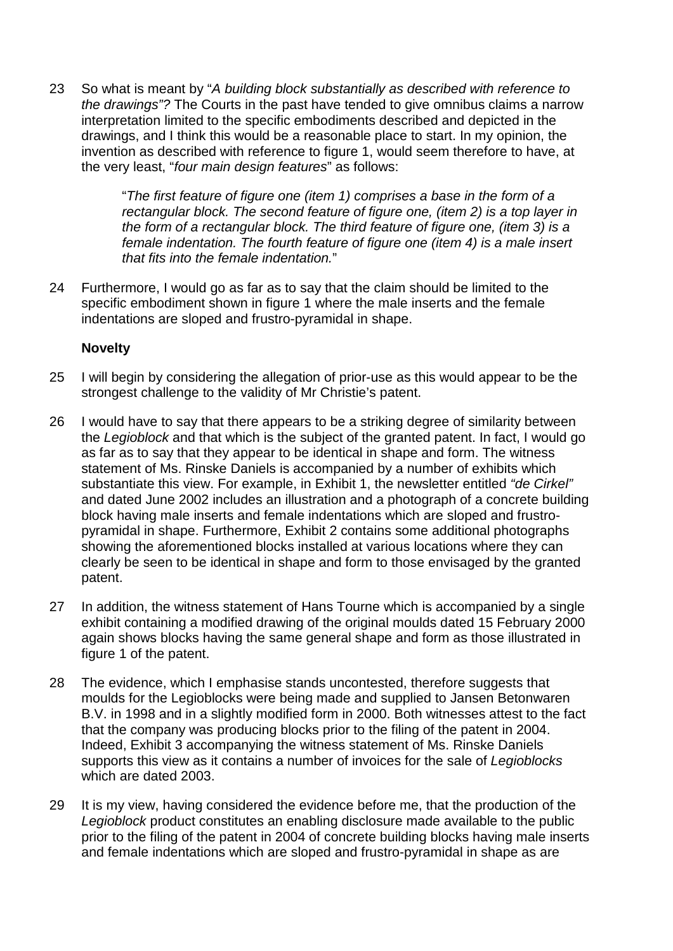23 So what is meant by "*A building block substantially as described with reference to the drawings"?* The Courts in the past have tended to give omnibus claims a narrow interpretation limited to the specific embodiments described and depicted in the drawings, and I think this would be a reasonable place to start. In my opinion, the invention as described with reference to figure 1, would seem therefore to have, at the very least, "*four main design features*" as follows:

> "*The first feature of figure one (item 1) comprises a base in the form of a rectangular block. The second feature of figure one, (item 2) is a top layer in the form of a rectangular block. The third feature of figure one, (item 3) is a female indentation. The fourth feature of figure one (item 4) is a male insert that fits into the female indentation.*"

24 Furthermore, I would go as far as to say that the claim should be limited to the specific embodiment shown in figure 1 where the male inserts and the female indentations are sloped and frustro-pyramidal in shape.

### **Novelty**

- 25 I will begin by considering the allegation of prior-use as this would appear to be the strongest challenge to the validity of Mr Christie's patent.
- 26 I would have to say that there appears to be a striking degree of similarity between the *Legioblock* and that which is the subject of the granted patent. In fact, I would go as far as to say that they appear to be identical in shape and form. The witness statement of Ms. Rinske Daniels is accompanied by a number of exhibits which substantiate this view. For example, in Exhibit 1, the newsletter entitled *"de Cirkel"* and dated June 2002 includes an illustration and a photograph of a concrete building block having male inserts and female indentations which are sloped and frustropyramidal in shape. Furthermore, Exhibit 2 contains some additional photographs showing the aforementioned blocks installed at various locations where they can clearly be seen to be identical in shape and form to those envisaged by the granted patent.
- 27 In addition, the witness statement of Hans Tourne which is accompanied by a single exhibit containing a modified drawing of the original moulds dated 15 February 2000 again shows blocks having the same general shape and form as those illustrated in figure 1 of the patent.
- 28 The evidence, which I emphasise stands uncontested, therefore suggests that moulds for the Legioblocks were being made and supplied to Jansen Betonwaren B.V. in 1998 and in a slightly modified form in 2000. Both witnesses attest to the fact that the company was producing blocks prior to the filing of the patent in 2004. Indeed, Exhibit 3 accompanying the witness statement of Ms. Rinske Daniels supports this view as it contains a number of invoices for the sale of *Legioblocks* which are dated 2003.
- 29 It is my view, having considered the evidence before me, that the production of the *Legioblock* product constitutes an enabling disclosure made available to the public prior to the filing of the patent in 2004 of concrete building blocks having male inserts and female indentations which are sloped and frustro-pyramidal in shape as are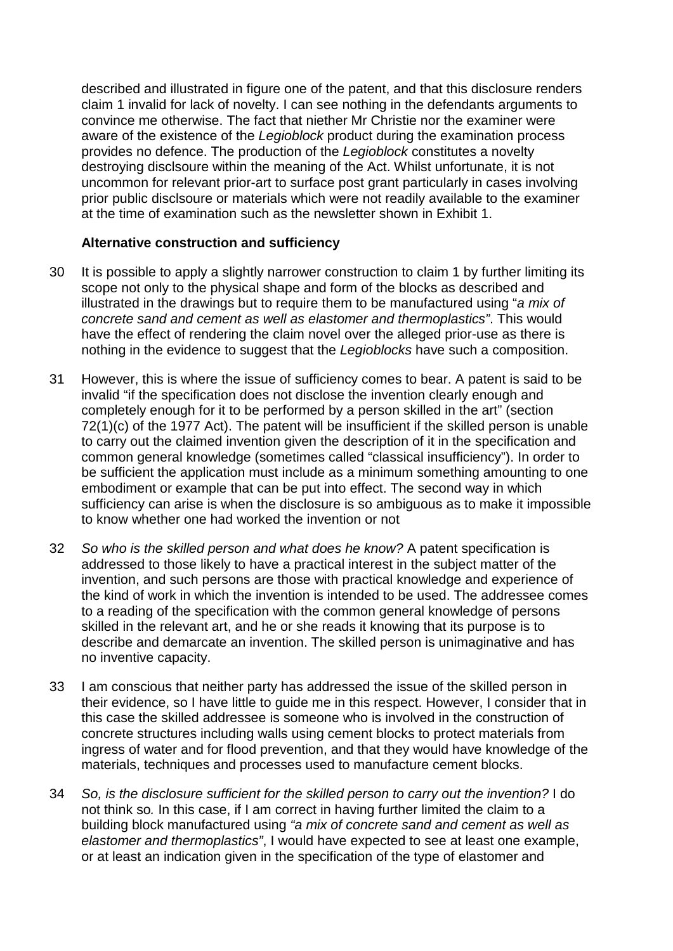described and illustrated in figure one of the patent, and that this disclosure renders claim 1 invalid for lack of novelty. I can see nothing in the defendants arguments to convince me otherwise. The fact that niether Mr Christie nor the examiner were aware of the existence of the *Legioblock* product during the examination process provides no defence. The production of the *Legioblock* constitutes a novelty destroying disclsoure within the meaning of the Act. Whilst unfortunate, it is not uncommon for relevant prior-art to surface post grant particularly in cases involving prior public disclsoure or materials which were not readily available to the examiner at the time of examination such as the newsletter shown in Exhibit 1.

### **Alternative construction and sufficiency**

- 30 It is possible to apply a slightly narrower construction to claim 1 by further limiting its scope not only to the physical shape and form of the blocks as described and illustrated in the drawings but to require them to be manufactured using "*a mix of concrete sand and cement as well as elastomer and thermoplastics"*. This would have the effect of rendering the claim novel over the alleged prior-use as there is nothing in the evidence to suggest that the *Legioblocks* have such a composition.
- 31 However, this is where the issue of sufficiency comes to bear. A patent is said to be invalid "if the specification does not disclose the invention clearly enough and completely enough for it to be performed by a person skilled in the art" (section 72(1)(c) of the 1977 Act). The patent will be insufficient if the skilled person is unable to carry out the claimed invention given the description of it in the specification and common general knowledge (sometimes called "classical insufficiency"). In order to be sufficient the application must include as a minimum something amounting to one embodiment or example that can be put into effect. The second way in which sufficiency can arise is when the disclosure is so ambiguous as to make it impossible to know whether one had worked the invention or not
- 32 *So who is the skilled person and what does he know?* A patent specification is addressed to those likely to have a practical interest in the subject matter of the invention, and such persons are those with practical knowledge and experience of the kind of work in which the invention is intended to be used. The addressee comes to a reading of the specification with the common general knowledge of persons skilled in the relevant art, and he or she reads it knowing that its purpose is to describe and demarcate an invention. The skilled person is unimaginative and has no inventive capacity.
- 33 I am conscious that neither party has addressed the issue of the skilled person in their evidence, so I have little to guide me in this respect. However, I consider that in this case the skilled addressee is someone who is involved in the construction of concrete structures including walls using cement blocks to protect materials from ingress of water and for flood prevention, and that they would have knowledge of the materials, techniques and processes used to manufacture cement blocks.
- 34 *So, is the disclosure sufficient for the skilled person to carry out the invention?* I do not think so*.* In this case, if I am correct in having further limited the claim to a building block manufactured using *"a mix of concrete sand and cement as well as elastomer and thermoplastics"*, I would have expected to see at least one example, or at least an indication given in the specification of the type of elastomer and